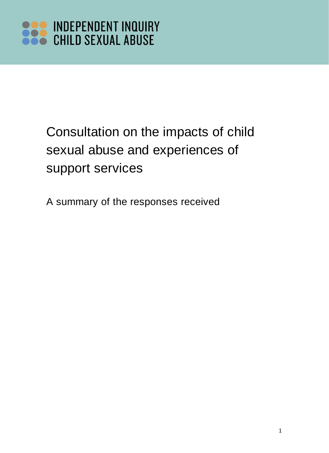### Consultation on the impacts of child sexual abuse and experiences of support services

A summary of the responses received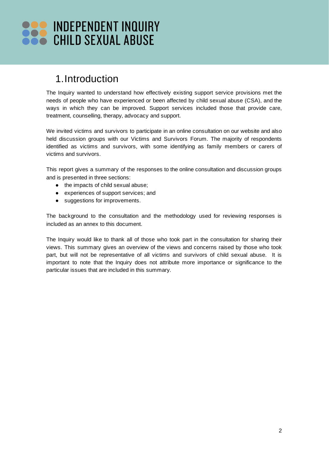### 1.Introduction

The Inquiry wanted to understand how effectively existing support service provisions met the needs of people who have experienced or been affected by child sexual abuse (CSA), and the ways in which they can be improved. Support services included those that provide care, treatment, counselling, therapy, advocacy and support.

We invited victims and survivors to participate in an online consultation on our website and also held discussion groups with our Victims and Survivors Forum. The majority of respondents identified as victims and survivors, with some identifying as family members or carers of victims and survivors.

This report gives a summary of the responses to the online consultation and discussion groups and is presented in three sections:

- the impacts of child sexual abuse;
- experiences of support services; and
- suggestions for improvements.

The background to the consultation and the methodology used for reviewing responses is included as an annex to this document.

The Inquiry would like to thank all of those who took part in the consultation for sharing their views. This summary gives an overview of the views and concerns raised by those who took part, but will not be representative of all victims and survivors of child sexual abuse. It is important to note that the Inquiry does not attribute more importance or significance to the particular issues that are included in this summary.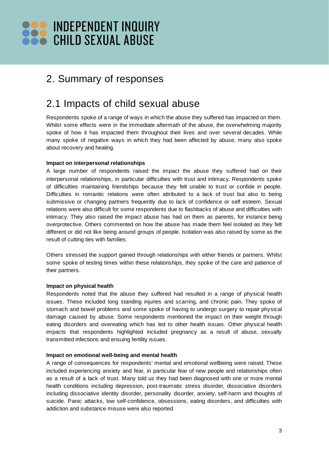### 2. Summary of responses

### 2.1 Impacts of child sexual abuse

Respondents spoke of a range of ways in which the abuse they suffered has impacted on them. Whilst some effects were in the immediate aftermath of the abuse, the overwhelming majority spoke of how it has impacted them throughout their lives and over several decades. While many spoke of negative ways in which they had been affected by abuse, many also spoke about recovery and healing.

### **Impact on interpersonal relationships**

A large number of respondents raised the impact the abuse they suffered had on their interpersonal relationships, in particular difficulties with trust and intimacy. Respondents spoke of difficulties maintaining friendships because they felt unable to trust or confide in people. Difficulties in romantic relations were often attributed to a lack of trust but also to being submissive or changing partners frequently due to lack of confidence or self esteem. Sexual relations were also difficult for some respondents due to flashbacks of abuse and difficulties with intimacy. They also raised the impact abuse has had on them as parents, for instance being overprotective. Others commented on how the abuse has made them feel isolated as they felt different or did not like being around groups of people. Isolation was also raised by some as the result of cutting ties with families.

Others stressed the support gained through relationships with either friends or partners. Whilst some spoke of testing times within these relationships, they spoke of the care and patience of their partners.

### **Impact on physical health**

Respondents noted that the abuse they suffered had resulted in a range of physical health issues. These included long standing injuries and scarring, and chronic pain. They spoke of stomach and bowel problems and some spoke of having to undergo surgery to repair physical damage caused by abuse. Some respondents mentioned the impact on their weight through eating disorders and overeating which has led to other health issues. Other physical health impacts that respondents highlighted included pregnancy as a result of abuse, sexually transmitted infections and ensuing fertility issues.

### **Impact on emotional well-being and mental health**

A range of consequences for respondents' mental and emotional wellbeing were raised. These included experiencing anxiety and fear, in particular fear of new people and relationships often as a result of a lack of trust. Many told us they had been diagnosed with one or more mental health conditions including depression, post-traumatic stress disorder, dissociative disorders including dissociative identity disorder, personality disorder, anxiety, self-harm and thoughts of suicide. Panic attacks, low self-confidence, obsessions, eating disorders, and difficulties with addiction and substance misuse were also reported.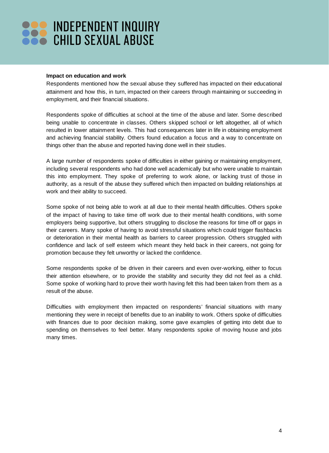#### **Impact on education and work**

Respondents mentioned how the sexual abuse they suffered has impacted on their educational attainment and how this, in turn, impacted on their careers through maintaining or succeeding in employment, and their financial situations.

Respondents spoke of difficulties at school at the time of the abuse and later. Some described being unable to concentrate in classes. Others skipped school or left altogether, all of which resulted in lower attainment levels. This had consequences later in life in obtaining employment and achieving financial stability. Others found education a focus and a way to concentrate on things other than the abuse and reported having done well in their studies.

A large number of respondents spoke of difficulties in either gaining or maintaining employment, including several respondents who had done well academically but who were unable to maintain this into employment. They spoke of preferring to work alone, or lacking trust of those in authority, as a result of the abuse they suffered which then impacted on building relationships at work and their ability to succeed.

Some spoke of not being able to work at all due to their mental health difficulties. Others spoke of the impact of having to take time off work due to their mental health conditions, with some employers being supportive, but others struggling to disclose the reasons for time off or gaps in their careers. Many spoke of having to avoid stressful situations which could trigger flashbacks or deterioration in their mental health as barriers to career progression. Others struggled with confidence and lack of self esteem which meant they held back in their careers, not going for promotion because they felt unworthy or lacked the confidence.

Some respondents spoke of be driven in their careers and even over-working, either to focus their attention elsewhere, or to provide the stability and security they did not feel as a child. Some spoke of working hard to prove their worth having felt this had been taken from them as a result of the abuse.

Difficulties with employment then impacted on respondents' financial situations with many mentioning they were in receipt of benefits due to an inability to work. Others spoke of difficulties with finances due to poor decision making, some gave examples of getting into debt due to spending on themselves to feel better. Many respondents spoke of moving house and jobs many times.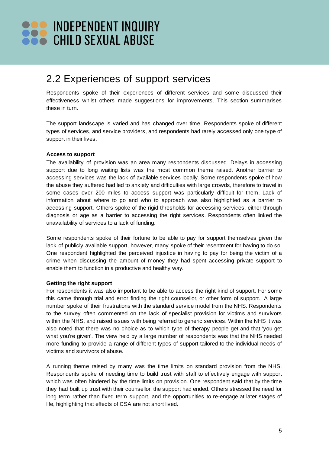### 2.2 Experiences of support services

Respondents spoke of their experiences of different services and some discussed their effectiveness whilst others made suggestions for improvements. This section summarises these in turn.

The support landscape is varied and has changed over time. Respondents spoke of different types of services, and service providers, and respondents had rarely accessed only one type of support in their lives.

#### **Access to support**

The availability of provision was an area many respondents discussed. Delays in accessing support due to long waiting lists was the most common theme raised. Another barrier to accessing services was the lack of available services locally. Some respondents spoke of how the abuse they suffered had led to anxiety and difficulties with large crowds, therefore to travel in some cases over 200 miles to access support was particularly difficult for them. Lack of information about where to go and who to approach was also highlighted as a barrier to accessing support. Others spoke of the rigid thresholds for accessing services, either through diagnosis or age as a barrier to accessing the right services. Respondents often linked the unavailability of services to a lack of funding.

Some respondents spoke of their fortune to be able to pay for support themselves given the lack of publicly available support, however, many spoke of their resentment for having to do so. One respondent highlighted the perceived injustice in having to pay for being the victim of a crime when discussing the amount of money they had spent accessing private support to enable them to function in a productive and healthy way.

### **Getting the right support**

For respondents it was also important to be able to access the right kind of support. For some this came through trial and error finding the right counsellor, or other form of support. A large number spoke of their frustrations with the standard service model from the NHS. Respondents to the survey often commented on the lack of specialist provision for victims and survivors within the NHS, and raised issues with being referred to generic services. Within the NHS it was also noted that there was no choice as to which type of therapy people get and that 'you get what you're given'. The view held by a large number of respondents was that the NHS needed more funding to provide a range of different types of support tailored to the individual needs of victims and survivors of abuse.

A running theme raised by many was the time limits on standard provision from the NHS. Respondents spoke of needing time to build trust with staff to effectively engage with support which was often hindered by the time limits on provision. One respondent said that by the time they had built up trust with their counsellor, the support had ended. Others stressed the need for long term rather than fixed term support, and the opportunities to re-engage at later stages of life, highlighting that effects of CSA are not short lived.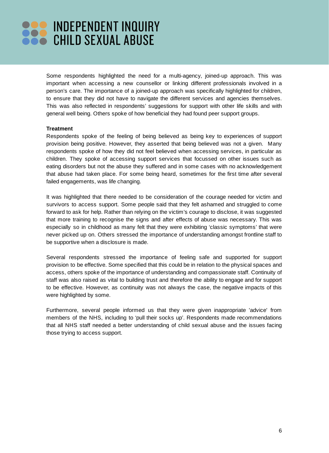Some respondents highlighted the need for a multi-agency, joined-up approach. This was important when accessing a new counsellor or linking different professionals involved in a person's care. The importance of a joined-up approach was specifically highlighted for children, to ensure that they did not have to navigate the different services and agencies themselves. This was also reflected in respondents' suggestions for support with other life skills and with general well being. Others spoke of how beneficial they had found peer support groups.

#### **Treatment**

Respondents spoke of the feeling of being believed as being key to experiences of support provision being positive. However, they asserted that being believed was not a given. Many respondents spoke of how they did not feel believed when accessing services, in particular as children. They spoke of accessing support services that focussed on other issues such as eating disorders but not the abuse they suffered and in some cases with no acknowledgement that abuse had taken place. For some being heard, sometimes for the first time after several failed engagements, was life changing.

It was highlighted that there needed to be consideration of the courage needed for victim and survivors to access support. Some people said that they felt ashamed and struggled to come forward to ask for help. Rather than relying on the victim's courage to disclose, it was suggested that more training to recognise the signs and after effects of abuse was necessary. This was especially so in childhood as many felt that they were exhibiting 'classic symptoms' that were never picked up on. Others stressed the importance of understanding amongst frontline staff to be supportive when a disclosure is made.

Several respondents stressed the importance of feeling safe and supported for support provision to be effective. Some specified that this could be in relation to the physical spaces and access, others spoke of the importance of understanding and compassionate staff. Continuity of staff was also raised as vital to building trust and therefore the ability to engage and for support to be effective. However, as continuity was not always the case, the negative impacts of this were highlighted by some.

Furthermore, several people informed us that they were given inappropriate 'advice' from members of the NHS, including to 'pull their socks up'. Respondents made recommendations that all NHS staff needed a better understanding of child sexual abuse and the issues facing those trying to access support.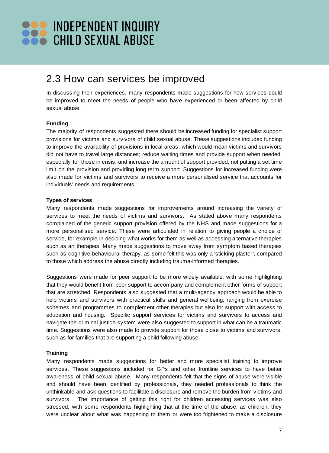### 2.3 How can services be improved

In discussing their experiences, many respondents made suggestions for how services could be improved to meet the needs of people who have experienced or been affected by child sexual abuse.

### **Funding**

The majority of respondents suggested there should be increased funding for specialist support provisions for victims and survivors of child sexual abuse. These suggestions included funding to improve the availability of provisions in local areas, which would mean victims and survivors did not have to travel large distances; reduce waiting times and provide support when needed, especially for those in crisis; and increase the amount of support provided, not putting a set time limit on the provision and providing long term support. Suggestions for increased funding were also made for victims and survivors to receive a more personalised service that accounts for individuals' needs and requirements.

#### **Types of services**

Many respondents made suggestions for improvements around increasing the variety of services to meet the needs of victims and survivors. As stated above many respondents complained of the generic support provision offered by the NHS and made suggestions for a more personalised service. These were articulated in relation to giving people a choice of service, for example in deciding what works for them as well as accessing alternative therapies such as art therapies. Many made suggestions to move away from symptom based therapies such as cognitive behavioural therapy, as some felt this was only a 'sticking plaster', compared to those which address the abuse directly including trauma-informed therapies.

Suggestions were made for peer support to be more widely available, with some highlighting that they would benefit from peer support to accompany and complement other forms of support that are stretched. Respondents also suggested that a multi-agency approach would be able to help victims and survivors with practical skills and general wellbeing; ranging from exercise schemes and programmes to complement other therapies but also for support with access to education and housing. Specific support services for victims and survivors to access and navigate the criminal justice system were also suggested to support in what can be a traumatic time. Suggestions were also made to provide support for those close to victims and survivors, such as for families that are supporting a child following abuse.

#### **Training**

Many respondents made suggestions for better and more specialist training to improve services. These suggestions included for GPs and other frontline services to have better awareness of child sexual abuse. Many respondents felt that the signs of abuse were visible and should have been identified by professionals, they needed professionals to think the unthinkable and ask questions to facilitate a disclosure and remove the burden from victims and survivors. The importance of getting this right for children accessing services was also stressed, with some respondents highlighting that at the time of the abuse, as children, they were unclear about what was happening to them or were too frightened to make a disclosure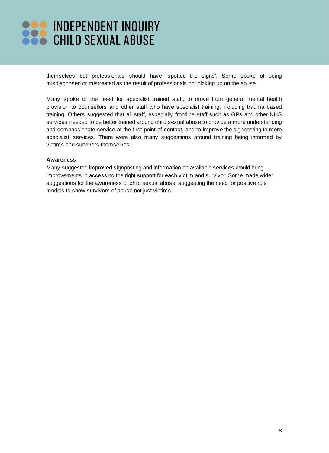themselves but professionals should have 'spotted the signs'. Some spoke of being misdiagnosed or mistreated as the result of professionals not picking up on the abuse.

Many spoke of the need for specialist trained staff, to move from general mental health provision to counsellors and other staff who have specialist training, including trauma based training. Others suggested that all staff, especially frontline staff such as GPs and other NHS services needed to be better trained around child sexual abuse to provide a more understanding and compassionate service at the first point of contact, and to improve the signposting to more specialist services. There were also many suggestions around training being informed by victims and survivors themselves.

#### **Awareness**

Many suggested improved signposting and information on available services would bring improvements in accessing the right support for each victim and survivor. Some made wider suggestions for the awareness of child sexual abuse, suggesting the need for positive role models to show survivors of abuse not just victims.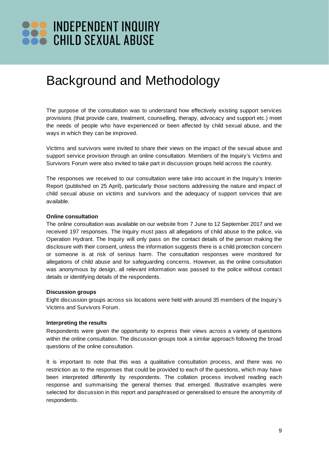### Background and Methodology

The purpose of the consultation was to understand how effectively existing support services provisions (that provide care, treatment, counselling, therapy, advocacy and support etc.) meet the needs of people who have experienced or been affected by child sexual abuse, and the ways in which they can be improved.

Victims and survivors were invited to share their views on the impact of the sexual abuse and support service provision through an online consultation. Members of the Inquiry's Victims and Survivors Forum were also invited to take part in discussion groups held across the country.

The responses we received to our consultation were take into account in the Inquiry's Interim Report (published on 25 April), particularly those sections addressing the nature and impact of child sexual abuse on victims and survivors and the adequacy of support services that are available.

#### **Online consultation**

The online consultation was available on our website from 7 June to 12 September 2017 and we received 197 responses. The Inquiry must pass all allegations of child abuse to the police, via Operation Hydrant. The Inquiry will only pass on the contact details of the person making the disclosure with their consent, unless the information suggests there is a child protection concern or someone is at risk of serious harm. The consultation responses were monitored for allegations of child abuse and for safeguarding concerns. However, as the online consultation was anonymous by design, all relevant information was passed to the police without contact details or identifying details of the respondents.

#### **Discussion groups**

Eight discussion groups across six locations were held with around 35 members of the Inquiry's Victims and Survivors Forum.

#### **Interpreting the results**

Respondents were given the opportunity to express their views across a variety of questions within the online consultation. The discussion groups took a similar approach following the broad questions of the online consultation.

It is important to note that this was a qualitative consultation process, and there was no restriction as to the responses that could be provided to each of the questions, which may have been interpreted differently by respondents. The collation process involved reading each response and summarising the general themes that emerged. Illustrative examples were selected for discussion in this report and paraphrased or generalised to ensure the anonymity of respondents.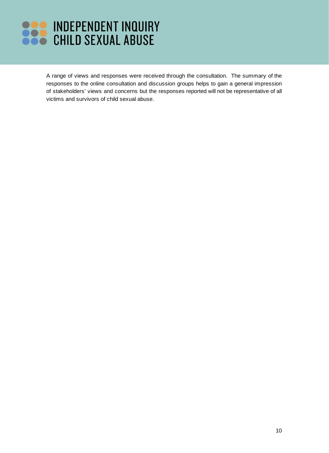A range of views and responses were received through the consultation. The summary of the responses to the online consultation and discussion groups helps to gain a general impression of stakeholders' views and concerns but the responses reported will not be representative of all victims and survivors of child sexual abuse.